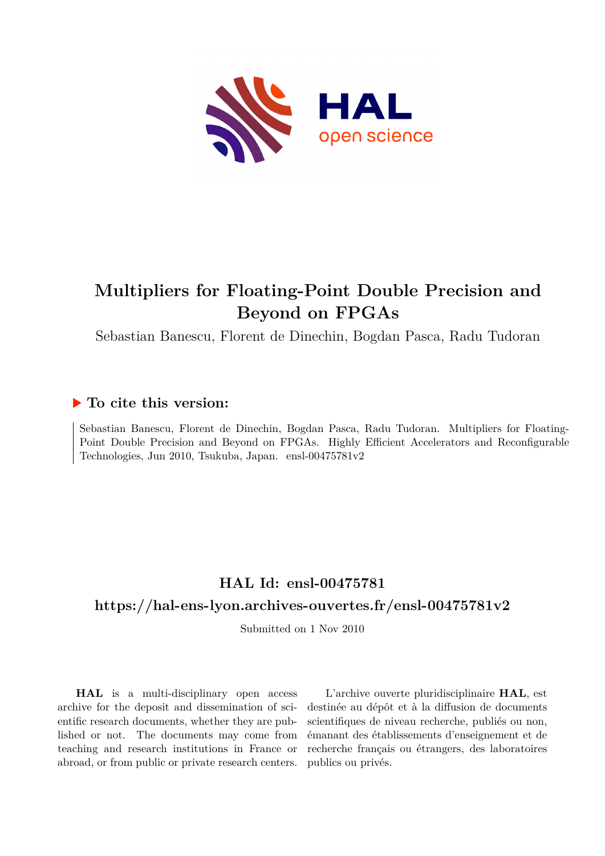

## **Multipliers for Floating-Point Double Precision and Beyond on FPGAs**

Sebastian Banescu, Florent de Dinechin, Bogdan Pasca, Radu Tudoran

### **To cite this version:**

Sebastian Banescu, Florent de Dinechin, Bogdan Pasca, Radu Tudoran. Multipliers for Floating-Point Double Precision and Beyond on FPGAs. Highly Efficient Accelerators and Reconfigurable Technologies, Jun 2010, Tsukuba, Japan. ensl-00475781v2

### **HAL Id: ensl-00475781 <https://hal-ens-lyon.archives-ouvertes.fr/ensl-00475781v2>**

Submitted on 1 Nov 2010

**HAL** is a multi-disciplinary open access archive for the deposit and dissemination of scientific research documents, whether they are published or not. The documents may come from teaching and research institutions in France or abroad, or from public or private research centers.

L'archive ouverte pluridisciplinaire **HAL**, est destinée au dépôt et à la diffusion de documents scientifiques de niveau recherche, publiés ou non, émanant des établissements d'enseignement et de recherche français ou étrangers, des laboratoires publics ou privés.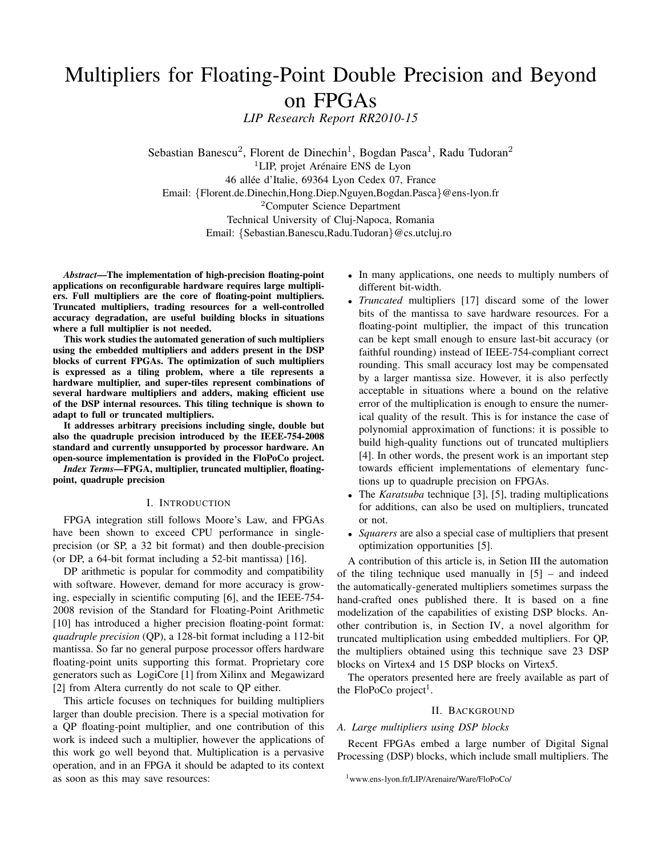# Multipliers for Floating-Point Double Precision and Beyond on FPGAs

*LIP Research Report RR2010-15*

Sebastian Banescu<sup>2</sup>, Florent de Dinechin<sup>1</sup>, Bogdan Pasca<sup>1</sup>, Radu Tudoran<sup>2</sup>  ${}^{1}$ LIP, projet Arénaire ENS de Lyon 46 allée d'Italie, 69364 Lyon Cedex 07, France Email: {Florent.de.Dinechin,Hong.Diep.Nguyen,Bogdan.Pasca}@ens-lyon.fr <sup>2</sup>Computer Science Department Technical University of Cluj-Napoca, Romania Email: {Sebastian.Banescu,Radu.Tudoran}@cs.utcluj.ro

*Abstract*—The implementation of high-precision floating-point applications on reconfigurable hardware requires large multipliers. Full multipliers are the core of floating-point multipliers. Truncated multipliers, trading resources for a well-controlled accuracy degradation, are useful building blocks in situations where a full multiplier is not needed.

This work studies the automated generation of such multipliers using the embedded multipliers and adders present in the DSP blocks of current FPGAs. The optimization of such multipliers is expressed as a tiling problem, where a tile represents a hardware multiplier, and super-tiles represent combinations of several hardware multipliers and adders, making efficient use of the DSP internal resources. This tiling technique is shown to adapt to full or truncated multipliers.

It addresses arbitrary precisions including single, double but also the quadruple precision introduced by the IEEE-754-2008 standard and currently unsupported by processor hardware. An open-source implementation is provided in the FloPoCo project.

*Index Terms*—FPGA, multiplier, truncated multiplier, floatingpoint, quadruple precision

#### I. INTRODUCTION

FPGA integration still follows Moore's Law, and FPGAs have been shown to exceed CPU performance in singleprecision (or SP, a 32 bit format) and then double-precision (or DP, a 64-bit format including a 52-bit mantissa) [16].

DP arithmetic is popular for commodity and compatibility with software. However, demand for more accuracy is growing, especially in scientific computing [6], and the IEEE-754- 2008 revision of the Standard for Floating-Point Arithmetic [10] has introduced a higher precision floating-point format: *quadruple precision* (QP), a 128-bit format including a 112-bit mantissa. So far no general purpose processor offers hardware floating-point units supporting this format. Proprietary core generators such as LogiCore [1] from Xilinx and Megawizard [2] from Altera currently do not scale to QP either.

This article focuses on techniques for building multipliers larger than double precision. There is a special motivation for a QP floating-point multiplier, and one contribution of this work is indeed such a multiplier, however the applications of this work go well beyond that. Multiplication is a pervasive operation, and in an FPGA it should be adapted to its context as soon as this may save resources:

- In many applications, one needs to multiply numbers of different bit-width.
- *Truncated* multipliers [17] discard some of the lower bits of the mantissa to save hardware resources. For a floating-point multiplier, the impact of this truncation can be kept small enough to ensure last-bit accuracy (or faithful rounding) instead of IEEE-754-compliant correct rounding. This small accuracy lost may be compensated by a larger mantissa size. However, it is also perfectly acceptable in situations where a bound on the relative error of the multiplication is enough to ensure the numerical quality of the result. This is for instance the case of polynomial approximation of functions: it is possible to build high-quality functions out of truncated multipliers [4]. In other words, the present work is an important step towards efficient implementations of elementary functions up to quadruple precision on FPGAs.
- The *Karatsuba* technique [3], [5], trading multiplications for additions, can also be used on multipliers, truncated or not.
- *Squarers* are also a special case of multipliers that present optimization opportunities [5].

A contribution of this article is, in Setion III the automation of the tiling technique used manually in [5] – and indeed the automatically-generated multipliers sometimes surpass the hand-crafted ones published there. It is based on a fine modelization of the capabilities of existing DSP blocks. Another contribution is, in Section IV, a novel algorithm for truncated multiplication using embedded multipliers. For QP, the multipliers obtained using this technique save 23 DSP blocks on Virtex4 and 15 DSP blocks on Virtex5.

The operators presented here are freely available as part of the FloPoCo project<sup>1</sup>.

#### II. BACKGROUND

#### *A. Large multipliers using DSP blocks*

Recent FPGAs embed a large number of Digital Signal Processing (DSP) blocks, which include small multipliers. The

<sup>1</sup>www.ens-lyon.fr/LIP/Arenaire/Ware/FloPoCo/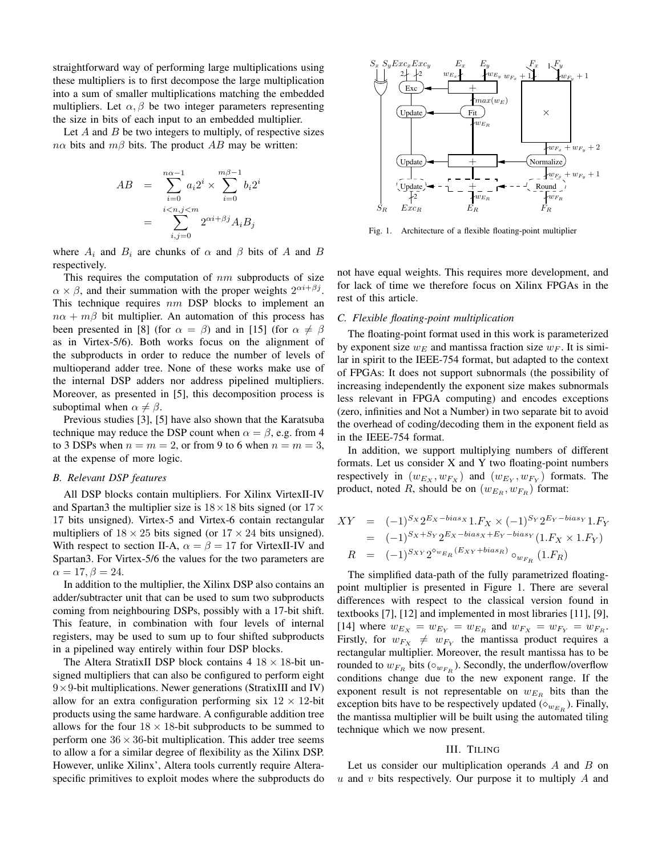straightforward way of performing large multiplications using these multipliers is to first decompose the large multiplication into a sum of smaller multiplications matching the embedded multipliers. Let  $\alpha$ ,  $\beta$  be two integer parameters representing the size in bits of each input to an embedded multiplier.

Let  $A$  and  $B$  be two integers to multiply, of respective sizes  $n\alpha$  bits and  $m\beta$  bits. The product AB may be written:

$$
AB = \sum_{i=0}^{n\alpha-1} a_i 2^i \times \sum_{i=0}^{m\beta-1} b_i 2^i
$$

$$
= \sum_{i,j=0}^{i \langle n,j \rangle m} 2^{\alpha i + \beta j} A_i B_j
$$

where  $A_i$  and  $B_i$  are chunks of  $\alpha$  and  $\beta$  bits of A and B respectively.

This requires the computation of  $nm$  subproducts of size  $\alpha \times \beta$ , and their summation with the proper weights  $2^{\alpha i + \beta j}$ . This technique requires  $nm$  DSP blocks to implement an  $n\alpha + m\beta$  bit multiplier. An automation of this process has been presented in [8] (for  $\alpha = \beta$ ) and in [15] (for  $\alpha \neq \beta$ as in Virtex-5/6). Both works focus on the alignment of the subproducts in order to reduce the number of levels of multioperand adder tree. None of these works make use of the internal DSP adders nor address pipelined multipliers. Moreover, as presented in [5], this decomposition process is suboptimal when  $\alpha \neq \beta$ .

Previous studies [3], [5] have also shown that the Karatsuba technique may reduce the DSP count when  $\alpha = \beta$ , e.g. from 4 to 3 DSPs when  $n = m = 2$ , or from 9 to 6 when  $n = m = 3$ , at the expense of more logic.

#### *B. Relevant DSP features*

All DSP blocks contain multipliers. For Xilinx VirtexII-IV and Spartan3 the multiplier size is  $18 \times 18$  bits signed (or  $17 \times$ 17 bits unsigned). Virtex-5 and Virtex-6 contain rectangular multipliers of  $18 \times 25$  bits signed (or  $17 \times 24$  bits unsigned). With respect to section II-A,  $\alpha = \beta = 17$  for VirtexII-IV and Spartan3. For Virtex-5/6 the values for the two parameters are  $\alpha = 17, \beta = 24.$ 

In addition to the multiplier, the Xilinx DSP also contains an adder/subtracter unit that can be used to sum two subproducts coming from neighbouring DSPs, possibly with a 17-bit shift. This feature, in combination with four levels of internal registers, may be used to sum up to four shifted subproducts in a pipelined way entirely within four DSP blocks.

The Altera StratixII DSP block contains  $4 \frac{18}{18} \times 18$ -bit unsigned multipliers that can also be configured to perform eight  $9 \times 9$ -bit multiplications. Newer generations (StratixIII and IV) allow for an extra configuration performing six  $12 \times 12$ -bit products using the same hardware. A configurable addition tree allows for the four  $18 \times 18$ -bit subproducts to be summed to perform one  $36 \times 36$ -bit multiplication. This adder tree seems to allow a for a similar degree of flexibility as the Xilinx DSP. However, unlike Xilinx', Altera tools currently require Alteraspecific primitives to exploit modes where the subproducts do



Fig. 1. Architecture of a flexible floating-point multiplier

not have equal weights. This requires more development, and for lack of time we therefore focus on Xilinx FPGAs in the rest of this article.

#### *C. Flexible floating-point multiplication*

The floating-point format used in this work is parameterized by exponent size  $w_F$  and mantissa fraction size  $w_F$ . It is similar in spirit to the IEEE-754 format, but adapted to the context of FPGAs: It does not support subnormals (the possibility of increasing independently the exponent size makes subnormals less relevant in FPGA computing) and encodes exceptions (zero, infinities and Not a Number) in two separate bit to avoid the overhead of coding/decoding them in the exponent field as in the IEEE-754 format.

In addition, we support multiplying numbers of different formats. Let us consider X and Y two floating-point numbers respectively in  $(w_{E_X}, w_{F_X})$  and  $(w_{E_Y}, w_{F_Y})$  formats. The product, noted R, should be on  $(w_{E_R}, w_{F_R})$  format:

$$
XY = (-1)^{S_X} 2^{E_X - bias_X} 1.F_X \times (-1)^{S_Y} 2^{E_Y - bias_Y} 1.F_Y
$$
  
= (-1)^{S\_X + S\_Y} 2^{E\_X - bias\_X + E\_Y - bias\_Y} (1.F\_X \times 1.F\_Y)  

$$
R = (-1)^{S_{XY}} 2^{\circ w_{E_R}(Ex_Y + bias_R)} \circ_{w_{F_R}} (1.F_R)
$$

The simplified data-path of the fully parametrized floatingpoint multiplier is presented in Figure 1. There are several differences with respect to the classical version found in textbooks [7], [12] and implemented in most libraries [11], [9], [14] where  $w_{E_X} = w_{E_Y} = w_{E_R}$  and  $w_{F_X} = w_{F_Y} = w_{F_R}$ . Firstly, for  $w_{F_X} \neq w_{F_Y}$  the mantissa product requires a rectangular multiplier. Moreover, the result mantissa has to be rounded to  $w_{F_R}$  bits ( $\circ_{w_{F_R}}$ ). Secondly, the underflow/overflow conditions change due to the new exponent range. If the exponent result is not representable on  $w_{E_R}$  bits than the exception bits have to be respectively updated ( $\diamond_{w_{E_R}}$ ). Finally, the mantissa multiplier will be built using the automated tiling technique which we now present.

#### III. TILING

Let us consider our multiplication operands  $A$  and  $B$  on  $u$  and  $v$  bits respectively. Our purpose it to multiply  $A$  and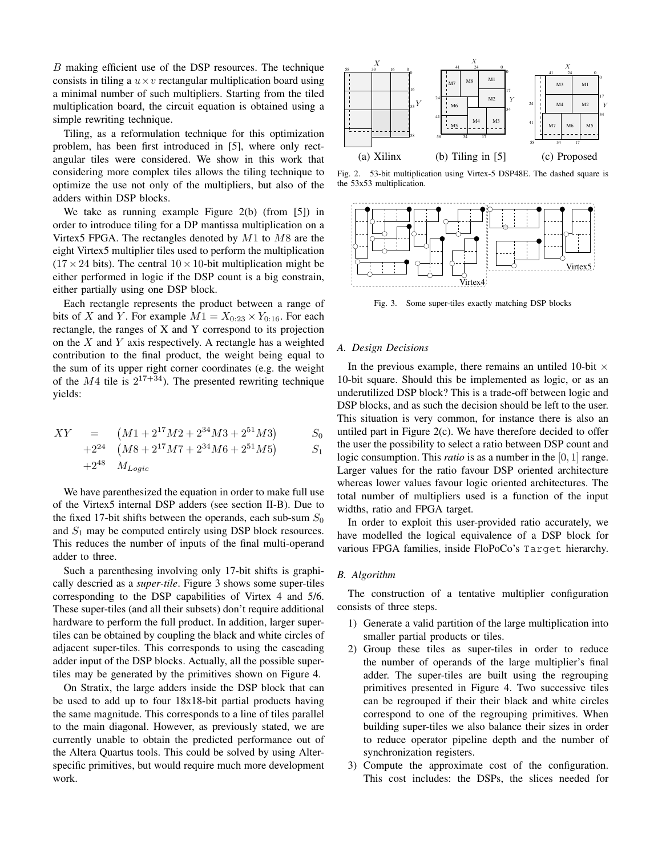B making efficient use of the DSP resources. The technique consists in tiling a  $u \times v$  rectangular multiplication board using a minimal number of such multipliers. Starting from the tiled multiplication board, the circuit equation is obtained using a simple rewriting technique.

Tiling, as a reformulation technique for this optimization problem, has been first introduced in [5], where only rectangular tiles were considered. We show in this work that considering more complex tiles allows the tiling technique to optimize the use not only of the multipliers, but also of the adders within DSP blocks.

We take as running example Figure 2(b) (from [5]) in order to introduce tiling for a DP mantissa multiplication on a Virtex5 FPGA. The rectangles denoted by  $M1$  to  $M8$  are the eight Virtex5 multiplier tiles used to perform the multiplication  $(17 \times 24$  bits). The central  $10 \times 10$ -bit multiplication might be either performed in logic if the DSP count is a big constrain, either partially using one DSP block.

Each rectangle represents the product between a range of bits of X and Y. For example  $M1 = X_{0:23} \times Y_{0:16}$ . For each rectangle, the ranges of X and Y correspond to its projection on the  $X$  and  $Y$  axis respectively. A rectangle has a weighted contribution to the final product, the weight being equal to the sum of its upper right corner coordinates (e.g. the weight of the  $M4$  tile is  $2^{17+34}$ ). The presented rewriting technique yields:

$$
XY = (M1 + 2^{17}M2 + 2^{34}M3 + 2^{51}M3) \t S_0
$$
  
+2<sup>24</sup> (M8 + 2<sup>17</sup>M7 + 2<sup>34</sup>M6 + 2<sup>51</sup>M5) S<sub>1</sub>

$$
+2^{48} \quad M_{Loaic}
$$

We have parenthesized the equation in order to make full use of the Virtex5 internal DSP adders (see section II-B). Due to the fixed 17-bit shifts between the operands, each sub-sum  $S_0$ and  $S_1$  may be computed entirely using DSP block resources. This reduces the number of inputs of the final multi-operand adder to three.

Such a parenthesing involving only 17-bit shifts is graphically descried as a *super-tile*. Figure 3 shows some super-tiles corresponding to the DSP capabilities of Virtex 4 and 5/6. These super-tiles (and all their subsets) don't require additional hardware to perform the full product. In addition, larger supertiles can be obtained by coupling the black and white circles of adjacent super-tiles. This corresponds to using the cascading adder input of the DSP blocks. Actually, all the possible supertiles may be generated by the primitives shown on Figure 4.

On Stratix, the large adders inside the DSP block that can be used to add up to four 18x18-bit partial products having the same magnitude. This corresponds to a line of tiles parallel to the main diagonal. However, as previously stated, we are currently unable to obtain the predicted performance out of the Altera Quartus tools. This could be solved by using Alterspecific primitives, but would require much more development work.



Fig. 2. 53-bit multiplication using Virtex-5 DSP48E. The dashed square is the 53x53 multiplication.



Fig. 3. Some super-tiles exactly matching DSP blocks

#### *A. Design Decisions*

In the previous example, there remains an untiled 10-bit  $\times$ 10-bit square. Should this be implemented as logic, or as an underutilized DSP block? This is a trade-off between logic and DSP blocks, and as such the decision should be left to the user. This situation is very common, for instance there is also an untiled part in Figure 2(c). We have therefore decided to offer the user the possibility to select a ratio between DSP count and logic consumption. This *ratio* is as a number in the [0, 1] range. Larger values for the ratio favour DSP oriented architecture whereas lower values favour logic oriented architectures. The total number of multipliers used is a function of the input widths, ratio and FPGA target.

In order to exploit this user-provided ratio accurately, we have modelled the logical equivalence of a DSP block for various FPGA families, inside FloPoCo's Target hierarchy.

#### *B. Algorithm*

The construction of a tentative multiplier configuration consists of three steps.

- 1) Generate a valid partition of the large multiplication into smaller partial products or tiles.
- 2) Group these tiles as super-tiles in order to reduce the number of operands of the large multiplier's final adder. The super-tiles are built using the regrouping primitives presented in Figure 4. Two successive tiles can be regrouped if their their black and white circles correspond to one of the regrouping primitives. When building super-tiles we also balance their sizes in order to reduce operator pipeline depth and the number of synchronization registers.
- 3) Compute the approximate cost of the configuration. This cost includes: the DSPs, the slices needed for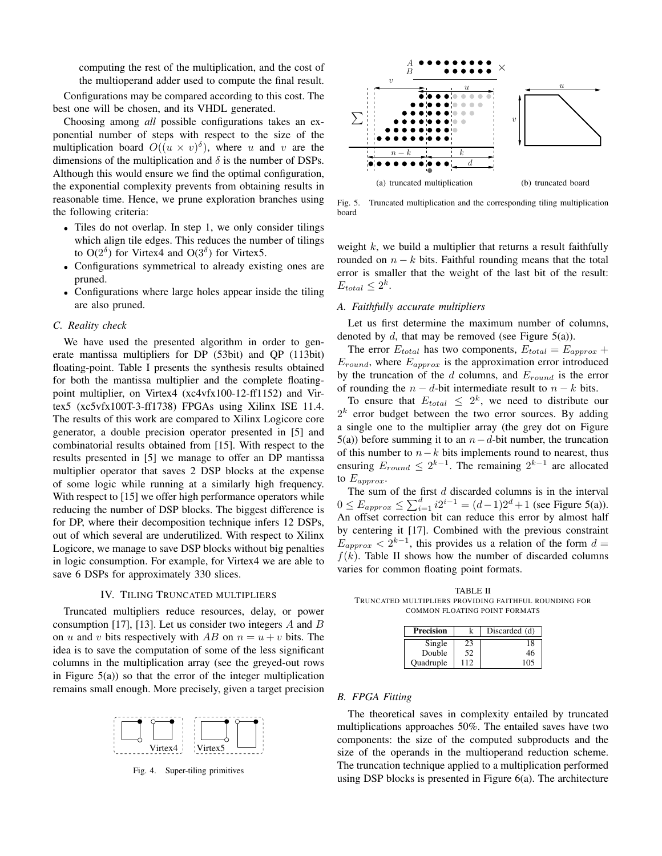computing the rest of the multiplication, and the cost of the multioperand adder used to compute the final result.

Configurations may be compared according to this cost. The best one will be chosen, and its VHDL generated.

Choosing among *all* possible configurations takes an exponential number of steps with respect to the size of the multiplication board  $O((u \times v)^{\delta})$ , where u and v are the dimensions of the multiplication and  $\delta$  is the number of DSPs. Although this would ensure we find the optimal configuration, the exponential complexity prevents from obtaining results in reasonable time. Hence, we prune exploration branches using the following criteria:

- Tiles do not overlap. In step 1, we only consider tilings which align tile edges. This reduces the number of tilings to  $O(2^{\delta})$  for Virtex4 and  $O(3^{\delta})$  for Virtex5.
- Configurations symmetrical to already existing ones are pruned.
- Configurations where large holes appear inside the tiling are also pruned.

#### *C. Reality check*

We have used the presented algorithm in order to generate mantissa multipliers for DP (53bit) and QP (113bit) floating-point. Table I presents the synthesis results obtained for both the mantissa multiplier and the complete floatingpoint multiplier, on Virtex4 (xc4vfx100-12-ff1152) and Virtex5 (xc5vfx100T-3-ff1738) FPGAs using Xilinx ISE 11.4. The results of this work are compared to Xilinx Logicore core generator, a double precision operator presented in [5] and combinatorial results obtained from [15]. With respect to the results presented in [5] we manage to offer an DP mantissa multiplier operator that saves 2 DSP blocks at the expense of some logic while running at a similarly high frequency. With respect to [15] we offer high performance operators while reducing the number of DSP blocks. The biggest difference is for DP, where their decomposition technique infers 12 DSPs, out of which several are underutilized. With respect to Xilinx Logicore, we manage to save DSP blocks without big penalties in logic consumption. For example, for Virtex4 we are able to save 6 DSPs for approximately 330 slices.

#### IV. TILING TRUNCATED MULTIPLIERS

Truncated multipliers reduce resources, delay, or power consumption [17], [13]. Let us consider two integers  $A$  and  $B$ on u and v bits respectively with AB on  $n = u + v$  bits. The idea is to save the computation of some of the less significant columns in the multiplication array (see the greyed-out rows in Figure  $5(a)$ ) so that the error of the integer multiplication remains small enough. More precisely, given a target precision



Fig. 4. Super-tiling primitives



Fig. 5. Truncated multiplication and the corresponding tiling multiplication board

weight  $k$ , we build a multiplier that returns a result faithfully rounded on  $n - k$  bits. Faithful rounding means that the total error is smaller that the weight of the last bit of the result:  $E_{total} \leq 2^{k}$ .

#### *A. Faithfully accurate multipliers*

Let us first determine the maximum number of columns, denoted by  $d$ , that may be removed (see Figure 5(a)).

The error  $E_{total}$  has two components,  $E_{total} = E_{approx} +$  $E_{round}$ , where  $E_{approx}$  is the approximation error introduced by the truncation of the  $d$  columns, and  $E_{round}$  is the error of rounding the  $n - d$ -bit intermediate result to  $n - k$  bits.

To ensure that  $E_{total} \leq 2^k$ , we need to distribute our  $2<sup>k</sup>$  error budget between the two error sources. By adding a single one to the multiplier array (the grey dot on Figure 5(a)) before summing it to an  $n-d$ -bit number, the truncation of this number to  $n-k$  bits implements round to nearest, thus ensuring  $E_{round} \leq 2^{k-1}$ . The remaining  $2^{k-1}$  are allocated to  $E_{approx}$ .

The sum of the first  $d$  discarded columns is in the interval  $0 \le E_{approx} \le \sum_{i=1}^{d} i2^{i-1} = (d-1)2^d + 1$  (see Figure 5(a)). An offset correction bit can reduce this error by almost half by centering it [17]. Combined with the previous constraint  $E_{approx} < 2^{k-1}$ , this provides us a relation of the form  $d =$  $f(k)$ . Table II shows how the number of discarded columns varies for common floating point formats.

TABLE II TRUNCATED MULTIPLIERS PROVIDING FAITHFUL ROUNDING FOR COMMON FLOATING POINT FORMATS

| Precision |     | Discarded (d) |
|-----------|-----|---------------|
| Single    | 23  | 18            |
| Double    | 52  | 46            |
| Quadruple | 112 | 105           |

#### *B. FPGA Fitting*

The theoretical saves in complexity entailed by truncated multiplications approaches 50%. The entailed saves have two components: the size of the computed subproducts and the size of the operands in the multioperand reduction scheme. The truncation technique applied to a multiplication performed using DSP blocks is presented in Figure 6(a). The architecture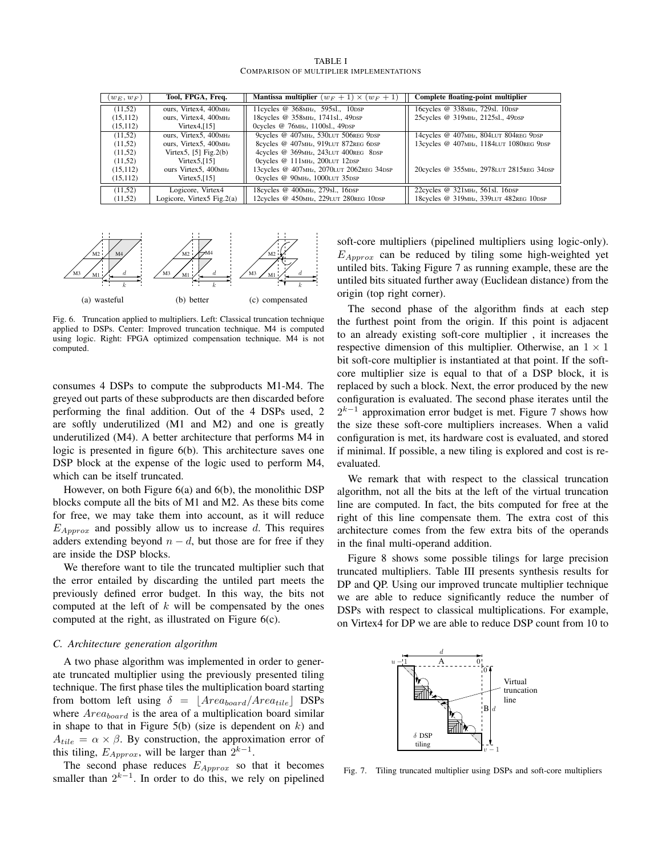| TABLE I |  |                                          |
|---------|--|------------------------------------------|
|         |  | COMPARISON OF MULTIPLIER IMPLEMENTATIONS |

| $(w_E, w_F)$ | Tool, FPGA, Freq.                 | <b>Mantissa multiplier</b> $(w_F + 1) \times (w_F + 1)$ | Complete floating-point multiplier                  |
|--------------|-----------------------------------|---------------------------------------------------------|-----------------------------------------------------|
| (11,52)      | ours. Virtex4, 400 <sub>MHz</sub> | 11 cycles @ 368 MHz, 595 sl., 10 DSP                    | 16 cycles @ 338 MHz, 729 sl. 10 DSP                 |
| (15, 112)    | ours. Virtex4, 400 <sub>MHz</sub> | 18 cycles @ 358 MHz, 1741 sl., 49 DSP                   | 25 cycles @ 319 MHz, 2125 sl., 49 DSP               |
| (15, 112)    | Virtex $4$ , [15]                 | Ocycles @ 76MHz, 1100s1., 49DSP                         |                                                     |
| (11,52)      | ours. Virtex5, 400 <sub>MHz</sub> | 9cycles @ 407MHz, 530LUT 506REG 9DSP                    | 14cycles @ 407MHz, 804LUT 804REG 9DSP               |
| (11,52)      | ours, Virtex5, 400 <sub>MHz</sub> | 8cycles @ 407MHz, 919LUT 872REG 6DSP                    | 13cycles @ 407MHz, 1184LUT 1080REG 9DSP             |
| (11,52)      | Virtex5, $[5]$ Fig.2(b)           | 4cycles @ 369MHz, 243LUT 400REG 8DSP                    |                                                     |
| (11,52)      | Virtex $5,[15]$                   | Ocycles @ 111MHz, 200LUT 12DSP                          |                                                     |
| (15, 112)    | ours Virtex5, 400 <sub>MHz</sub>  | 13cycles @ 407 <sub>MHz</sub> , 2070LUT 2062REG 34DSP   | 20cycles @ 355MHz, 2978LUT 2815REG 34DSP            |
| (15, 112)    | Virtex $5$ , [15]                 | Ocycles @ 90MHz, 1000LUT 35DSP                          |                                                     |
| (11,52)      | Logicore, Virtex4                 | 18 cycles @ 400 MHz, 279 sl., 16 DSP                    | 22cycles @ 321MHz, 561sl. 16DSP                     |
| (11,52)      | Logicore, Virtex $5$ Fig. $2(a)$  | 12cycles @ 450MHz, 229LUT 280REG 10DSP                  | 18cycles @ 319 <sub>MHz</sub> , 339LUT 482REG 10DSP |



Fig. 6. Truncation applied to multipliers. Left: Classical truncation technique applied to DSPs. Center: Improved truncation technique. M4 is computed using logic. Right: FPGA optimized compensation technique. M4 is not computed.

consumes 4 DSPs to compute the subproducts M1-M4. The greyed out parts of these subproducts are then discarded before performing the final addition. Out of the 4 DSPs used, 2 are softly underutilized (M1 and M2) and one is greatly underutilized (M4). A better architecture that performs M4 in logic is presented in figure 6(b). This architecture saves one DSP block at the expense of the logic used to perform M4, which can be itself truncated.

However, on both Figure 6(a) and 6(b), the monolithic DSP blocks compute all the bits of M1 and M2. As these bits come for free, we may take them into account, as it will reduce  $E_{Approx}$  and possibly allow us to increase d. This requires adders extending beyond  $n - d$ , but those are for free if they are inside the DSP blocks.

We therefore want to tile the truncated multiplier such that the error entailed by discarding the untiled part meets the previously defined error budget. In this way, the bits not computed at the left of  $k$  will be compensated by the ones computed at the right, as illustrated on Figure 6(c).

#### *C. Architecture generation algorithm*

A two phase algorithm was implemented in order to generate truncated multiplier using the previously presented tiling technique. The first phase tiles the multiplication board starting from bottom left using  $\delta = |Area_{board}/Area_{tile}|$  DSPs where  $Area_{board}$  is the area of a multiplication board similar in shape to that in Figure  $5(b)$  (size is dependent on k) and  $A_{tile} = \alpha \times \beta$ . By construction, the approximation error of this tiling,  $E_{Approx}$ , will be larger than  $2^{k-1}$ .

The second phase reduces  $E_{Approx}$  so that it becomes smaller than  $2^{k-1}$ . In order to do this, we rely on pipelined

soft-core multipliers (pipelined multipliers using logic-only).  $E_{Approx}$  can be reduced by tiling some high-weighted yet untiled bits. Taking Figure 7 as running example, these are the untiled bits situated further away (Euclidean distance) from the origin (top right corner).

The second phase of the algorithm finds at each step the furthest point from the origin. If this point is adjacent to an already existing soft-core multiplier , it increases the respective dimension of this multiplier. Otherwise, an  $1 \times 1$ bit soft-core multiplier is instantiated at that point. If the softcore multiplier size is equal to that of a DSP block, it is replaced by such a block. Next, the error produced by the new configuration is evaluated. The second phase iterates until the  $2^{k-1}$  approximation error budget is met. Figure 7 shows how the size these soft-core multipliers increases. When a valid configuration is met, its hardware cost is evaluated, and stored if minimal. If possible, a new tiling is explored and cost is reevaluated.

We remark that with respect to the classical truncation algorithm, not all the bits at the left of the virtual truncation line are computed. In fact, the bits computed for free at the right of this line compensate them. The extra cost of this architecture comes from the few extra bits of the operands in the final multi-operand addition.

Figure 8 shows some possible tilings for large precision truncated multipliers. Table III presents synthesis results for DP and QP. Using our improved truncate multiplier technique we are able to reduce significantly reduce the number of DSPs with respect to classical multiplications. For example, on Virtex4 for DP we are able to reduce DSP count from 10 to



Fig. 7. Tiling truncated multiplier using DSPs and soft-core multipliers